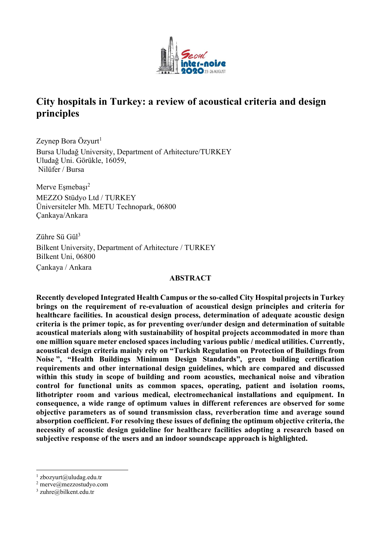

# City hospitals in Turkey: a review of acoustical criteria and design principles

Zeynep Bora Özyurt $<sup>1</sup>$ </sup> Bursa Uludağ University, Department of Arhitecture/TURKEY Uludağ Uni. Görükle, 16059, Nilüfer / Bursa

Merve Esmebası<sup>2</sup> MEZZO Stüdyo Ltd / TURKEY Üniversiteler Mh. METU Technopark, 06800 Çankaya/Ankara

Zühre Sü Gül<sup>3</sup> Bilkent University, Department of Arhitecture / TURKEY Bilkent Uni, 06800 Çankaya / Ankara

## ABSTRACT

Recently developed Integrated Health Campus or the so-called City Hospital projects in Turkey brings on the requirement of re-evaluation of acoustical design principles and criteria for healthcare facilities. In acoustical design process, determination of adequate acoustic design criteria is the primer topic, as for preventing over/under design and determination of suitable acoustical materials along with sustainability of hospital projects accommodated in more than one million square meter enclosed spaces including various public / medical utilities. Currently, acoustical design criteria mainly rely on "Turkish Regulation on Protection of Buildings from Noise ", "Health Buildings Minimum Design Standards", green building certification requirements and other international design guidelines, which are compared and discussed within this study in scope of building and room acoustics, mechanical noise and vibration control for functional units as common spaces, operating, patient and isolation rooms, lithotripter room and various medical, electromechanical installations and equipment. In consequence, a wide range of optimum values in different references are observed for some objective parameters as of sound transmission class, reverberation time and average sound absorption coefficient. For resolving these issues of defining the optimum objective criteria, the necessity of acoustic design guideline for healthcare facilities adopting a research based on subjective response of the users and an indoor soundscape approach is highlighted.

 $1$  zbozyurt@uludag.edu.tr

 $2$  merve@mezzostudyo.com

<sup>3</sup> zuhre@bilkent.edu.tr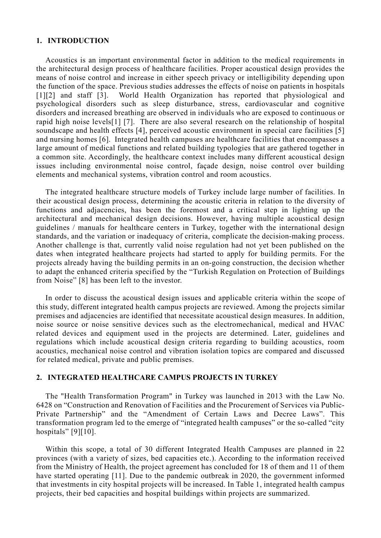#### 1. INTRODUCTION

Acoustics is an important environmental factor in addition to the medical requirements in the architectural design process of healthcare facilities. Proper acoustical design provides the means of noise control and increase in either speech privacy or intelligibility depending upon the function of the space. Previous studies addresses the effects of noise on patients in hospitals [1][2] and staff [3]. World Health Organization has reported that physiological and psychological disorders such as sleep disturbance, stress, cardiovascular and cognitive disorders and increased breathing are observed in individuals who are exposed to continuous or rapid high noise levels[1] [7]. There are also several research on the relationship of hospital soundscape and health effects [4], perceived acoustic environment in special care facilities [5] and nursing homes [6]. Integrated health campuses are healthcare facilities that encompasses a large amount of medical functions and related building typologies that are gathered together in a common site. Accordingly, the healthcare context includes many different acoustical design issues including environmental noise control, façade design, noise control over building elements and mechanical systems, vibration control and room acoustics.

The integrated healthcare structure models of Turkey include large number of facilities. In their acoustical design process, determining the acoustic criteria in relation to the diversity of functions and adjacencies, has been the foremost and a critical step in lighting up the architectural and mechanical design decisions. However, having multiple acoustical design guidelines / manuals for healthcare centers in Turkey, together with the international design standards, and the variation or inadequacy of criteria, complicate the decision-making process. Another challenge is that, currently valid noise regulation had not yet been published on the dates when integrated healthcare projects had started to apply for building permits. For the projects already having the building permits in an on-going construction, the decision whether to adapt the enhanced criteria specified by the "Turkish Regulation on Protection of Buildings from Noise" [8] has been left to the investor.

In order to discuss the acoustical design issues and applicable criteria within the scope of this study, different integrated health campus projects are reviewed. Among the projects similar premises and adjacencies are identified that necessitate acoustical design measures. In addition, noise source or noise sensitive devices such as the electromechanical, medical and HVAC related devices and equipment used in the projects are determined. Later, guidelines and regulations which include acoustical design criteria regarding to building acoustics, room acoustics, mechanical noise control and vibration isolation topics are compared and discussed for related medical, private and public premises.

## 2. INTEGRATED HEALTHCARE CAMPUS PROJECTS IN TURKEY

The "Health Transformation Program" in Turkey was launched in 2013 with the Law No. 6428 on "Construction and Renovation of Facilities and the Procurement of Services via Public-Private Partnership" and the "Amendment of Certain Laws and Decree Laws". This transformation program led to the emerge of "integrated health campuses" or the so-called "city hospitals" [9][10].

Within this scope, a total of 30 different Integrated Health Campuses are planned in 22 provinces (with a variety of sizes, bed capacities etc.). According to the information received from the Ministry of Health, the project agreement has concluded for 18 of them and 11 of them have started operating [11]. Due to the pandemic outbreak in 2020, the government informed that investments in city hospital projects will be increased. In Table 1, integrated health campus projects, their bed capacities and hospital buildings within projects are summarized.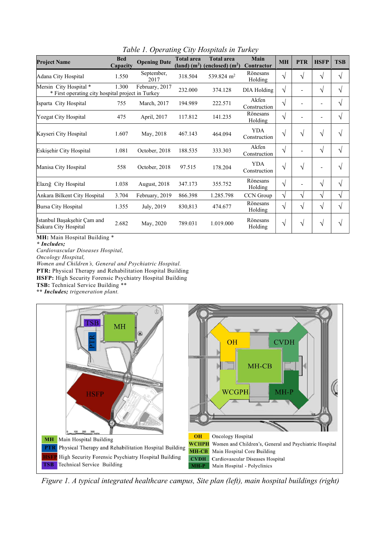| <b>Project Name</b>                                                         | <b>Bed</b><br>Capacity | <b>Opening Date</b> | <b>Total area</b> | <b>Total area</b><br>$(land)$ $(m2)$ (enclosed) $(m2)$ | Main<br>Contractor         | <b>MH</b> | <b>PTR</b> | <b>HSFP</b>              | <b>TSB</b> |
|-----------------------------------------------------------------------------|------------------------|---------------------|-------------------|--------------------------------------------------------|----------------------------|-----------|------------|--------------------------|------------|
| Adana City Hospital                                                         | 1.550                  | September,<br>2017  | 318.504           | 539.824 m <sup>2</sup>                                 | Rönesans<br>Holding        | V         | $\sqrt{}$  | $\sqrt{ }$               | $\sqrt{}$  |
| Mersin City Hospital *<br>* First operating city hospital project in Turkey | 1.300                  | February, 2017      | 232.000           | 374.128                                                | DIA Holding                | V         | -          | $\sqrt{}$                | $\sqrt{}$  |
| Isparta City Hospital                                                       | 755                    | March, 2017         | 194.989           | 222.571                                                | Akfen<br>Construction      | V         |            |                          | $\sqrt{}$  |
| Yozgat City Hospital                                                        | 475                    | April, 2017         | 117.812           | 141.235                                                | Rönesans<br>Holding        | V         |            |                          | $\sqrt{}$  |
| Kayseri City Hospital                                                       | 1.607                  | May, 2018           | 467.143           | 464.094                                                | <b>YDA</b><br>Construction | V         | $\sqrt{}$  | $\sqrt{ }$               | V          |
| Eskişehir City Hospital                                                     | 1.081                  | October, 2018       | 188.535           | 333.303                                                | Akfen<br>Construction      | V         |            | $\sqrt{ }$               | $\sqrt{}$  |
| Manisa City Hospital                                                        | 558                    | October, 2018       | 97.515            | 178.204                                                | <b>YDA</b><br>Construction | V         | $\sqrt{}$  | $\overline{\phantom{0}}$ | V          |
| Elazığ City Hospital                                                        | 1.038                  | <b>August, 2018</b> | 347.173           | 355.752                                                | Rönesans<br>Holding        | V         |            | $\sqrt{}$                | $\sqrt{}$  |
| Ankara Bilkent City Hospital                                                | 3.704                  | February, 2019      | 866.398           | 1.285.798                                              | CCN Group                  | V         | V          | $\sqrt{}$                | $\sqrt{ }$ |
| Bursa City Hospital                                                         | 1.355                  | July, 2019          | 830,813           | 474.677                                                | Rönesans<br>Holding        | V         | $\sqrt{ }$ | $\sqrt{ }$               | $\sqrt{}$  |
| İstanbul Başakşehir Çam and<br>Sakura City Hospital                         | 2.682                  | May, 2020           | 789.031           | 1.019.000                                              | Rönesans<br>Holding        | V         | $\sqrt{}$  | $\sqrt{}$                | V          |

Table 1. Operating City Hospitals in Turkey

MH: Main Hospital Building \*

\* Includes;

Cardiovascular Diseases Hospital,

Oncology Hospital,

Women and Children's, General and Psychiatric Hospital.

PTR: Physical Therapy and Rehabilitation Hospital Building

HSFP: High Security Forensic Psychiatry Hospital Building TSB: Technical Service Building \*\*

\*\* Includes; trigeneration plant.



Figure 1. A typical integrated healthcare campus, Site plan (left), main hospital buildings (right)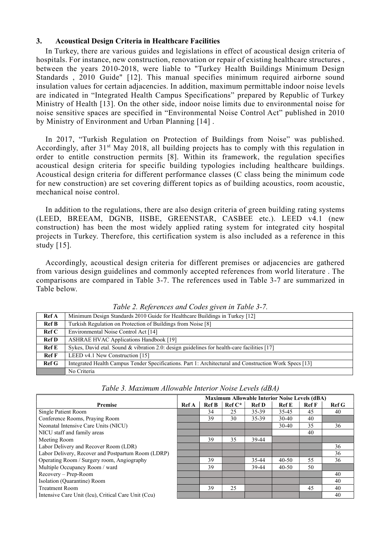## 3. Acoustical Design Criteria in Healthcare Facilities

In Turkey, there are various guides and legislations in effect of acoustical design criteria of hospitals. For instance, new construction, renovation or repair of existing healthcare structures, between the years 2010-2018, were liable to "Turkey Health Buildings Minimum Design Standards , 2010 Guide" [12]. This manual specifies minimum required airborne sound insulation values for certain adjacencies. In addition, maximum permittable indoor noise levels are indicated in "Integrated Health Campus Specifications" prepared by Republic of Turkey Ministry of Health [13]. On the other side, indoor noise limits due to environmental noise for noise sensitive spaces are specified in "Environmental Noise Control Act" published in 2010 by Ministry of Environment and Urban Planning [14] .

In 2017, "Turkish Regulation on Protection of Buildings from Noise" was published. Accordingly, after 31<sup>st</sup> May 2018, all building projects has to comply with this regulation in order to entitle construction permits [8]. Within its framework, the regulation specifies acoustical design criteria for specific building typologies including healthcare buildings. Acoustical design criteria for different performance classes (C class being the minimum code for new construction) are set covering different topics as of building acoustics, room acoustic, mechanical noise control.

In addition to the regulations, there are also design criteria of green building rating systems (LEED, BREEAM, DGNB, IISBE, GREENSTAR, CASBEE etc.). LEED v4.1 (new construction) has been the most widely applied rating system for integrated city hospital projects in Turkey. Therefore, this certification system is also included as a reference in this study [15].

Accordingly, acoustical design criteria for different premises or adjacencies are gathered from various design guidelines and commonly accepted references from world literature . The comparisons are compared in Table 3-7. The references used in Table 3-7 are summarized in Table below.

|                        | Tuble 2. References and Cours given in Tuble 5-7.                                                      |
|------------------------|--------------------------------------------------------------------------------------------------------|
| <b>Ref</b> A           | Minimum Design Standards 2010 Guide for Healthcare Buildings in Turkey [12]                            |
| <b>Ref B</b>           | Turkish Regulation on Protection of Buildings from Noise [8]                                           |
| $\operatorname{Ref} C$ | Environmental Noise Control Act [14]                                                                   |
| <b>Ref D</b>           | <b>ASHRAE HVAC Applications Handbook [19]</b>                                                          |
| $\operatorname{Ref} E$ | Sykes, David etal. Sound & vibration 2.0: design guidelines for health-care facilities $[17]$          |
| RefF                   | LEED v4.1 New Construction [15]                                                                        |
| Ref G                  | Integrated Health Campus Tender Specifications. Part 1: Architectural and Construction Work Specs [13] |
|                        | No Criteria                                                                                            |

Table 2. References and Codes given in Table 3-7.

|                                                        | $\beta$ , $\beta$ and $\alpha$ and $\alpha$ increased $\alpha$ is the product $\alpha$ and $\beta$ and $\alpha$ increased $\alpha$ and $\alpha$ and $\alpha$ and $\alpha$ is the set of $\alpha$ |                                                      |              |           |              |           |              |       |  |  |  |
|--------------------------------------------------------|--------------------------------------------------------------------------------------------------------------------------------------------------------------------------------------------------|------------------------------------------------------|--------------|-----------|--------------|-----------|--------------|-------|--|--|--|
| Ref F                                                  | LEED v4.1 New Construction [15]                                                                                                                                                                  |                                                      |              |           |              |           |              |       |  |  |  |
| $\operatorname{Ref} G$                                 | Integrated Health Campus Tender Specifications. Part 1: Architectural and Construction Work Specs [13]                                                                                           |                                                      |              |           |              |           |              |       |  |  |  |
|                                                        | No Criteria                                                                                                                                                                                      |                                                      |              |           |              |           |              |       |  |  |  |
|                                                        |                                                                                                                                                                                                  |                                                      |              |           |              |           |              |       |  |  |  |
| Table 3. Maximum Allowable Interior Noise Levels (dBA) |                                                                                                                                                                                                  |                                                      |              |           |              |           |              |       |  |  |  |
|                                                        |                                                                                                                                                                                                  | <b>Maximum Allowable Interior Noise Levels (dBA)</b> |              |           |              |           |              |       |  |  |  |
| <b>Premise</b>                                         |                                                                                                                                                                                                  |                                                      | <b>Ref B</b> | $Ref C^*$ | <b>Ref D</b> | Ref E     | <b>Ref</b> F | Ref G |  |  |  |
| Single Patient Room                                    |                                                                                                                                                                                                  |                                                      | 34           | 25        | 35-39        | 35-45     | 45           | 40    |  |  |  |
|                                                        | Conference Rooms, Praying Room                                                                                                                                                                   |                                                      | 39           | 30        | 35-39        | $30-40$   | 40           |       |  |  |  |
|                                                        | Neonatal Intensive Care Units (NICU)                                                                                                                                                             |                                                      |              |           |              | $30-40$   | 35           | 36    |  |  |  |
|                                                        | NICU staff and family areas                                                                                                                                                                      |                                                      |              |           |              |           | 40           |       |  |  |  |
| Meeting Room                                           |                                                                                                                                                                                                  |                                                      | 39           | 35        | 39-44        |           |              |       |  |  |  |
|                                                        | Labor Delivery and Recover Room (LDR)                                                                                                                                                            |                                                      |              |           |              |           |              | 36    |  |  |  |
| Labor Delivery, Recover and Postpartum Room (LDRP)     |                                                                                                                                                                                                  |                                                      |              |           |              |           |              | 36    |  |  |  |
|                                                        | Operating Room / Surgery room, Angiography                                                                                                                                                       |                                                      | 39           |           | 35-44        | $40 - 50$ | 55           | 36    |  |  |  |
|                                                        | Multiple Occupancy Room / ward                                                                                                                                                                   |                                                      | 39           |           | 39-44        | $40 - 50$ | 50           |       |  |  |  |

Recovery – Prep-Room and the contract of the contract of the contract of the contract of the contract of the contract of the contract of the contract of the contract of the contract of the contract of the contract of the c Isolation (Quarantine) Room and the contract of the contract of the contract of the contract of the contract of the contract of the contract of the contract of the contract of the contract of the contract of the contract o

Treatment Room 39 25 45 40 Intensive Care Unit (Icu), Critical Care Unit (Ccu) 40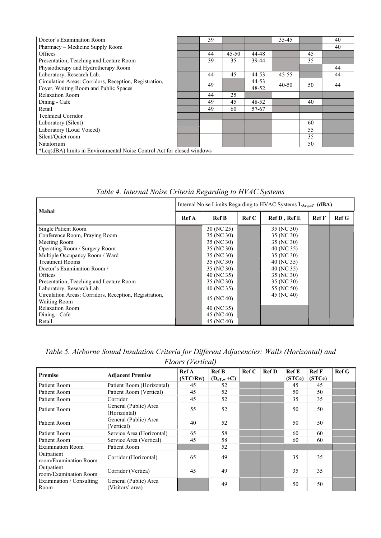| Doctor's Examination Room                                              | 39 |           |       | $35-45$   |    | 40 |
|------------------------------------------------------------------------|----|-----------|-------|-----------|----|----|
| Pharmacy – Medicine Supply Room                                        |    |           |       |           |    | 40 |
| Offices                                                                | 44 | $45 - 50$ | 44-48 |           | 45 |    |
| Presentation, Teaching and Lecture Room                                | 39 | 35        | 39-44 |           | 35 |    |
| Physiotherapy and Hydrotherapy Room                                    |    |           |       |           |    | 44 |
| Laboratory, Research Lab.                                              | 44 | 45        | 44-53 | $45 - 55$ |    | 44 |
| Circulation Areas: Corridors, Reception, Registration,                 | 49 |           | 44-53 | $40 - 50$ | 50 | 44 |
| Foyer, Waiting Room and Public Spaces                                  |    |           | 48-52 |           |    |    |
| <b>Relaxation Room</b>                                                 | 44 | 25        |       |           |    |    |
| Dining - Cafe                                                          | 49 | 45        | 48-52 |           | 40 |    |
| Retail                                                                 | 49 | 60        | 57-67 |           |    |    |
| <b>Technical Corridor</b>                                              |    |           |       |           |    |    |
| Laboratory (Silent)                                                    |    |           |       |           | 60 |    |
| Laboratory (Loud Voiced)                                               |    |           |       |           | 55 |    |
| Silent/Quiet room                                                      |    |           |       |           | 35 |    |
| Natatorium                                                             |    |           |       |           | 50 |    |
| *Leq(dBA) limits in Environmental Noise Control Act for closed windows |    |           |       |           |    |    |

| Table 4. Internal Noise Criteria Regarding to HVAC Systems |  |  |
|------------------------------------------------------------|--|--|
|------------------------------------------------------------|--|--|

|                                                        | Internal Noise Limits Regarding to HVAC Systems LAeq,nT (dBA) |              |       |              |              |                  |  |  |  |  |
|--------------------------------------------------------|---------------------------------------------------------------|--------------|-------|--------------|--------------|------------------|--|--|--|--|
| Mahal                                                  | Ref A                                                         | <b>Ref B</b> | Ref C | Ref D, Ref E | <b>Ref</b> F | Ref <sub>G</sub> |  |  |  |  |
| Single Patient Room                                    |                                                               | 30 (NC 25)   |       | 35 (NC 30)   |              |                  |  |  |  |  |
| Conference Room, Praying Room                          |                                                               | 35 (NC 30)   |       | 35 (NC 30)   |              |                  |  |  |  |  |
| Meeting Room                                           |                                                               | 35 (NC 30)   |       | 35 (NC 30)   |              |                  |  |  |  |  |
| Operating Room / Surgery Room                          |                                                               | 35 (NC 30)   |       | 40 (NC 35)   |              |                  |  |  |  |  |
| Multiple Occupancy Room / Ward                         |                                                               | 35 (NC 30)   |       | 35 (NC 30)   |              |                  |  |  |  |  |
| <b>Treatment Rooms</b>                                 |                                                               | 35 (NC 30)   |       | 40 (NC 35)   |              |                  |  |  |  |  |
| Doctor's Examination Room /                            |                                                               | 35 (NC 30)   |       | 40 (NC 35)   |              |                  |  |  |  |  |
| Offices                                                |                                                               | 40 (NC 35)   |       | 35 (NC 30)   |              |                  |  |  |  |  |
| Presentation, Teaching and Lecture Room                |                                                               | 35 (NC 30)   |       | 35 (NC 30)   |              |                  |  |  |  |  |
| Laboratory, Research Lab                               |                                                               | 40 (NC 35)   |       | 55 (NC 50)   |              |                  |  |  |  |  |
| Circulation Areas: Corridors, Reception, Registration, |                                                               | 45 (NC 40)   |       | 45 (NC 40)   |              |                  |  |  |  |  |
| <b>Waiting Room</b>                                    |                                                               |              |       |              |              |                  |  |  |  |  |
| <b>Relaxation Room</b>                                 |                                                               | 40 (NC 35)   |       |              |              |                  |  |  |  |  |
| Dining - Cafe                                          |                                                               | 45 (NC 40)   |       |              |              |                  |  |  |  |  |
| Retail                                                 |                                                               | 45 (NC 40)   |       |              |              |                  |  |  |  |  |

## Table 5. Airborne Sound Insulation Criteria for Different Adjacencies: Walls (Horizontal) and Floors (Vertical)

| Premise                             | <b>Adjacent Premise</b>                   | Ref A    | <b>Ref B</b>   | RefC | <b>Ref D</b> | <b>Ref</b> E | RefF   | Ref G |
|-------------------------------------|-------------------------------------------|----------|----------------|------|--------------|--------------|--------|-------|
|                                     |                                           | (STC/Rw) | $(D_{nT,w}+C)$ |      |              | (STCc)       | (STCc) |       |
| Patient Room                        | Patient Room (Horizontal)                 | 45       | 52             |      |              | 45           | 45     |       |
| Patient Room                        | Patient Room (Vertical)                   | 45       | 52             |      |              | 50           | 50     |       |
| Patient Room                        | Corridor                                  | 45       | 52             |      |              | 35           | 35     |       |
| Patient Room                        | General (Public) Area<br>(Horizontal)     | 55       | 52             |      |              | 50           | 50     |       |
| Patient Room                        | General (Public) Area<br>(Vertical)       | 40       | 52             |      |              | 50           | 50     |       |
| Patient Room                        | Service Area (Horizontal)                 | 65       | 58             |      |              | 60           | 60     |       |
| Patient Room                        | Service Area (Vertical)                   | 45       | 58             |      |              | 60           | 60     |       |
| <b>Examination Room</b>             | Patient Room                              |          | 52             |      |              |              |        |       |
| Outpatient<br>room/Examination Room | Corridor (Horizontal)                     | 65       | 49             |      |              | 35           | 35     |       |
| Outpatient<br>room/Examination Room | Corridor (Vertica)                        | 45       | 49             |      |              | 35           | 35     |       |
| Examination / Consulting<br>Room    | General (Public) Area<br>(Visitors' area) |          | 49             |      |              | 50           | 50     |       |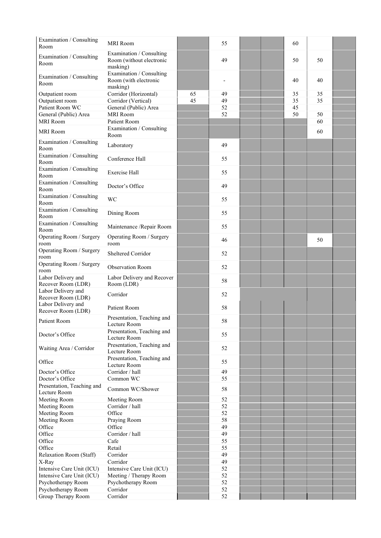| Examination / Consulting<br>Room         | <b>MRI</b> Room                                                  |    | 55       |  | 60 |    |  |
|------------------------------------------|------------------------------------------------------------------|----|----------|--|----|----|--|
| Examination / Consulting<br>Room         | Examination / Consulting<br>Room (without electronic<br>masking) |    | 49       |  | 50 | 50 |  |
| Examination / Consulting<br>Room         | Examination / Consulting<br>Room (with electronic<br>masking)    |    |          |  | 40 | 40 |  |
| Outpatient room                          | Corridor (Horizontal)                                            | 65 | 49       |  | 35 | 35 |  |
| Outpatient room                          | Corridor (Vertical)                                              | 45 | 49       |  | 35 | 35 |  |
| Patient Room WC                          | General (Public) Area                                            |    | 52       |  | 45 |    |  |
| General (Public) Area                    | <b>MRI</b> Room                                                  |    | 52       |  | 50 | 50 |  |
| <b>MRI</b> Room                          | Patient Room                                                     |    |          |  |    | 60 |  |
| <b>MRI</b> Room                          | Examination / Consulting<br>Room                                 |    |          |  |    | 60 |  |
| Examination / Consulting<br>Room         | Laboratory                                                       |    | 49       |  |    |    |  |
| Examination / Consulting<br>Room         | Conference Hall                                                  |    | 55       |  |    |    |  |
| Examination / Consulting<br>Room         | <b>Exercise Hall</b>                                             |    | 55       |  |    |    |  |
| Examination / Consulting<br>Room         | Doctor's Office                                                  |    | 49       |  |    |    |  |
| Examination / Consulting<br>Room         | WC                                                               |    | 55       |  |    |    |  |
| Examination / Consulting<br>Room         | Dining Room                                                      |    | 55       |  |    |    |  |
| Examination / Consulting<br>Room         | Maintenance / Repair Room                                        |    | 55       |  |    |    |  |
| Operating Room / Surgery<br>room         | Operating Room / Surgery<br>room                                 |    | 46       |  |    | 50 |  |
| Operating Room / Surgery<br>room         | Sheltered Corridor                                               |    | 52       |  |    |    |  |
| Operating Room / Surgery<br>room         | Observation Room                                                 |    | 52       |  |    |    |  |
| Labor Delivery and<br>Recover Room (LDR) | Labor Delivery and Recover<br>Room (LDR)                         |    | 58       |  |    |    |  |
| Labor Delivery and<br>Recover Room (LDR) | Corridor                                                         |    | 52       |  |    |    |  |
| Labor Delivery and                       | Patient Room                                                     |    | 58       |  |    |    |  |
| Recover Room (LDR)                       |                                                                  |    |          |  |    |    |  |
| Patient Room                             | Presentation, Teaching and<br>Lecture Room                       |    | 58       |  |    |    |  |
| Doctor's Office                          | Presentation, Teaching and<br>Lecture Room                       |    | 55       |  |    |    |  |
| Waiting Area / Corridor                  | Presentation, Teaching and<br>Lecture Room                       |    | 52       |  |    |    |  |
| Office                                   | Presentation, Teaching and<br>Lecture Room                       |    | 55       |  |    |    |  |
| Doctor's Office                          | Corridor / hall                                                  |    | 49       |  |    |    |  |
| Doctor's Office                          | Common WC                                                        |    | 55       |  |    |    |  |
| Presentation, Teaching and               | Common WC/Shower                                                 |    | 58       |  |    |    |  |
| Lecture Room                             |                                                                  |    |          |  |    |    |  |
| Meeting Room                             | Meeting Room<br>Corridor / hall                                  |    | 52<br>52 |  |    |    |  |
| Meeting Room<br>Meeting Room             | Office                                                           |    | 52       |  |    |    |  |
| Meeting Room                             | Praying Room                                                     |    | 58       |  |    |    |  |
| Office                                   | Office                                                           |    | 49       |  |    |    |  |
| Office                                   | Corridor / hall                                                  |    | 49       |  |    |    |  |
| Office                                   | Cafe                                                             |    | 55       |  |    |    |  |
| Office                                   | Retail                                                           |    | 55       |  |    |    |  |
| Relaxation Room (Staff)                  | Corridor                                                         |    | 49       |  |    |    |  |
| X-Ray                                    | Corridor                                                         |    | 49       |  |    |    |  |
| Intensive Care Unit (ICU)                | Intensive Care Unit (ICU)                                        |    | 52       |  |    |    |  |
| Intensive Care Unit (ICU)                | Meeting / Therapy Room                                           |    | 52       |  |    |    |  |
| Psychotherapy Room                       | Psychotherapy Room                                               |    | 52       |  |    |    |  |
| Psychotherapy Room                       | Corridor                                                         |    | 52       |  |    |    |  |
| Group Therapy Room                       | Corridor                                                         |    | 52       |  |    |    |  |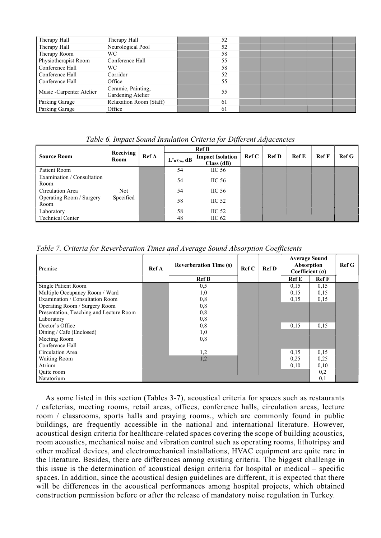| Therapy Hall             | Therapy Hall                            | 52 |  |  |  |
|--------------------------|-----------------------------------------|----|--|--|--|
| Therapy Hall             | Neurological Pool                       | 52 |  |  |  |
| Therapy Room             | WC.                                     | 58 |  |  |  |
| Physiotherapist Room     | Conference Hall                         | 55 |  |  |  |
| Conference Hall          | WC.                                     | 58 |  |  |  |
| Conference Hall          | Corridor                                | 52 |  |  |  |
| Conference Hall          | Office                                  | 55 |  |  |  |
| Music -Carpenter Atelier | Ceramic, Painting,<br>Gardening Atelier | 55 |  |  |  |
| Parking Garage           | Relaxation Room (Staff)                 | 61 |  |  |  |
| Parking Garage           | Office                                  | 61 |  |  |  |

Table 6. Impact Sound Insulation Criteria for Different Adjacencies

|                                    | Receiving |              |               | <b>Ref B</b>                         |                        |              |       |              |              |
|------------------------------------|-----------|--------------|---------------|--------------------------------------|------------------------|--------------|-------|--------------|--------------|
| <b>Source Room</b>                 | Room      | <b>Ref</b> A | $L1$ nT,w, dB | <b>Impact Isolation</b><br>Class(dB) | $\operatorname{Ref} C$ | <b>Ref D</b> | Ref E | <b>Ref</b> F | <b>Ref G</b> |
| Patient Room                       |           |              | 54            | $\mathrm{HC}~56$                     |                        |              |       |              |              |
| Examination / Consultation<br>Room |           |              | 54            | $\mathrm{HC}~56$                     |                        |              |       |              |              |
| Circulation Area                   | Not:      |              | 54            | $\mathrm{HC}~56$                     |                        |              |       |              |              |
| Operating Room / Surgery<br>Room   | Specified |              | 58            | HC <sub>52</sub>                     |                        |              |       |              |              |
| Laboratory                         |           |              | 58            | $\mathrm{HC}~52$                     |                        |              |       |              |              |
| <b>Technical Center</b>            |           |              | 48            | $\mathrm{HC}$ 62                     |                        |              |       |              |              |

Table 7. Criteria for Reverberation Times and Average Sound Absorption Coefficients

| Premise                                 | <b>Reverberation Time (s)</b><br>Ref C<br>Ref A |              | <b>Ref D</b> | <b>Average Sound</b><br>Absorption<br>Coefficient $(\bar{a})$ | RefG         |              |  |
|-----------------------------------------|-------------------------------------------------|--------------|--------------|---------------------------------------------------------------|--------------|--------------|--|
|                                         |                                                 | <b>Ref B</b> |              |                                                               | <b>Ref</b> E | <b>Ref</b> F |  |
| Single Patient Room                     |                                                 | 0,5          |              |                                                               | 0,15         | 0,15         |  |
| Multiple Occupancy Room / Ward          |                                                 | 1,0          |              |                                                               | 0,15         | 0,15         |  |
| Examination / Consultation Room         |                                                 | 0,8          |              |                                                               | 0,15         | 0,15         |  |
| Operating Room / Surgery Room           |                                                 | 0,8          |              |                                                               |              |              |  |
| Presentation, Teaching and Lecture Room |                                                 | 0,8          |              |                                                               |              |              |  |
| Laboratory                              |                                                 | 0,8          |              |                                                               |              |              |  |
| Doctor's Office                         |                                                 | 0,8          |              |                                                               | 0,15         | 0,15         |  |
| Dining / Cafe (Enclosed)                |                                                 | 1,0          |              |                                                               |              |              |  |
| Meeting Room                            |                                                 | 0,8          |              |                                                               |              |              |  |
| Conference Hall                         |                                                 |              |              |                                                               |              |              |  |
| Circulation Area                        |                                                 | 1,2          |              |                                                               | 0,15         | 0,15         |  |
| <b>Waiting Room</b>                     |                                                 | 1,2          |              |                                                               | 0,25         | 0,25         |  |
| Atrium                                  |                                                 |              |              |                                                               | 0,10         | 0,10         |  |
| Quite room                              |                                                 |              |              |                                                               |              | 0,2          |  |
| Natatorium                              |                                                 |              |              |                                                               |              | 0,1          |  |

As some listed in this section (Tables 3-7), acoustical criteria for spaces such as restaurants / cafeterias, meeting rooms, retail areas, offices, conference halls, circulation areas, lecture room / classrooms, sports halls and praying rooms., which are commonly found in public buildings, are frequently accessible in the national and international literature. However, acoustical design criteria for healthcare-related spaces covering the scope of building acoustics, room acoustics, mechanical noise and vibration control such as operating rooms, lithotripsy and other medical devices, and electromechanical installations, HVAC equipment are quite rare in the literature. Besides, there are differences among existing criteria. The biggest challenge in this issue is the determination of acoustical design criteria for hospital or medical – specific spaces. In addition, since the acoustical design guidelines are different, it is expected that there will be differences in the acoustical performances among hospital projects, which obtained construction permission before or after the release of mandatory noise regulation in Turkey.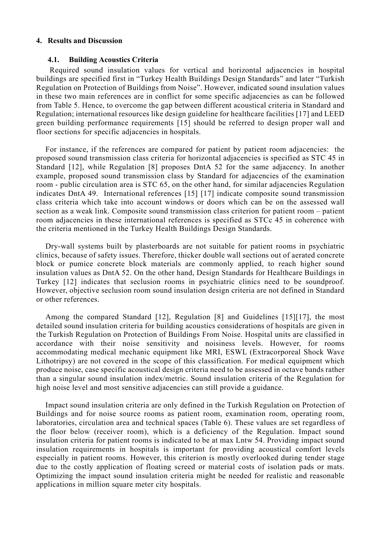## 4. Results and Discussion

#### 4.1. Building Acoustics Criteria

 Required sound insulation values for vertical and horizontal adjacencies in hospital buildings are specified first in "Turkey Health Buildings Design Standards" and later "Turkish Regulation on Protection of Buildings from Noise". However, indicated sound insulation values in these two main references are in conflict for some specific adjacencies as can be followed from Table 5. Hence, to overcome the gap between different acoustical criteria in Standard and Regulation; international resources like design guideline for healthcare facilities [17] and LEED green building performance requirements [15] should be referred to design proper wall and floor sections for specific adjacencies in hospitals.

For instance, if the references are compared for patient by patient room adjacencies: the proposed sound transmission class criteria for horizontal adjacencies is specified as STC 45 in Standard [12], while Regulation [8] proposes DntA 52 for the same adjacency. In another example, proposed sound transmission class by Standard for adjacencies of the examination room - public circulation area is STC 65, on the other hand, for similar adjacencies Regulation indicates DntA 49. International references [15] [17] indicate composite sound transmission class criteria which take into account windows or doors which can be on the assessed wall section as a weak link. Composite sound transmission class criterion for patient room – patient room adjacencies in these international references is specified as STCc 45 in coherence with the criteria mentioned in the Turkey Health Buildings Design Standards.

Dry-wall systems built by plasterboards are not suitable for patient rooms in psychiatric clinics, because of safety issues. Therefore, thicker double wall sections out of aerated concrete block or pumice concrete block materials are commonly applied, to reach higher sound insulation values as DntA 52. On the other hand, Design Standards for Healthcare Buildings in Turkey [12] indicates that seclusion rooms in psychiatric clinics need to be soundproof. However, objective seclusion room sound insulation design criteria are not defined in Standard or other references.

Among the compared Standard [12], Regulation [8] and Guidelines [15][17], the most detailed sound insulation criteria for building acoustics considerations of hospitals are given in the Turkish Regulation on Protection of Buildings From Noise. Hospital units are classified in accordance with their noise sensitivity and noisiness levels. However, for rooms accommodating medical mechanic equipment like MRI, ESWL (Extracorporeal Shock Wave Lithotripsy) are not covered in the scope of this classification. For medical equipment which produce noise, case specific acoustical design criteria need to be assessed in octave bands rather than a singular sound insulation index/metric. Sound insulation criteria of the Regulation for high noise level and most sensitive adjacencies can still provide a guidance.

Impact sound insulation criteria are only defined in the Turkish Regulation on Protection of Buildings and for noise source rooms as patient room, examination room, operating room, laboratories, circulation area and technical spaces (Table 6). These values are set regardless of the floor below (receiver room), which is a deficiency of the Regulation. Impact sound insulation criteria for patient rooms is indicated to be at max Lntw 54. Providing impact sound insulation requirements in hospitals is important for providing acoustical comfort levels especially in patient rooms. However, this criterion is mostly overlooked during tender stage due to the costly application of floating screed or material costs of isolation pads or mats. Optimizing the impact sound insulation criteria might be needed for realistic and reasonable applications in million square meter city hospitals.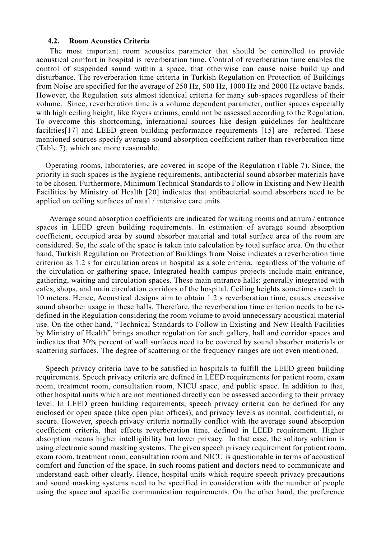#### 4.2. Room Acoustics Criteria

 The most important room acoustics parameter that should be controlled to provide acoustical comfort in hospital is reverberation time. Control of reverberation time enables the control of suspended sound within a space, that otherwise can cause noise build up and disturbance. The reverberation time criteria in Turkish Regulation on Protection of Buildings from Noise are specified for the average of 250 Hz, 500 Hz, 1000 Hz and 2000 Hz octave bands. However, the Regulation sets almost identical criteria for many sub-spaces regardless of their volume. Since, reverberation time is a volume dependent parameter, outlier spaces especially with high ceiling height, like foyers atriums, could not be assessed according to the Regulation. To overcome this shortcoming, international sources like design guidelines for healthcare facilities[17] and LEED green building performance requirements [15] are referred. These mentioned sources specify average sound absorption coefficient rather than reverberation time (Table 7), which are more reasonable.

Operating rooms, laboratories, are covered in scope of the Regulation (Table 7). Since, the priority in such spaces is the hygiene requirements, antibacterial sound absorber materials have to be chosen. Furthermore, Minimum Technical Standards to Follow in Existing and New Health Facilities by Ministry of Health [20] indicates that antibacterial sound absorbers need to be applied on ceiling surfaces of natal / intensive care units.

 Average sound absorption coefficients are indicated for waiting rooms and atrium / entrance spaces in LEED green building requirements. In estimation of average sound absorption coefficient, occupied area by sound absorber material and total surface area of the room are considered. So, the scale of the space is taken into calculation by total surface area. On the other hand, Turkish Regulation on Protection of Buildings from Noise indicates a reverberation time criterion as 1.2 s for circulation areas in hospital as a sole criteria, regardless of the volume of the circulation or gathering space. Integrated health campus projects include main entrance, gathering, waiting and circulation spaces. These main entrance halls: generally integrated with cafes, shops, and main circulation corridors of the hospital. Ceiling heights sometimes reach to 10 meters. Hence, Acoustical designs aim to obtain 1.2 s reverberation time, causes excessive sound absorber usage in these halls. Therefore, the reverberation time criterion needs to be redefined in the Regulation considering the room volume to avoid unnecessary acoustical material use. On the other hand, "Technical Standards to Follow in Existing and New Health Facilities by Ministry of Health" brings another regulation for such gallery, hall and corridor spaces and indicates that 30% percent of wall surfaces need to be covered by sound absorber materials or scattering surfaces. The degree of scattering or the frequency ranges are not even mentioned.

Speech privacy criteria have to be satisfied in hospitals to fulfill the LEED green building requirements. Speech privacy criteria are defined in LEED requirements for patient room, exam room, treatment room, consultation room, NICU space, and public space. In addition to that, other hospital units which are not mentioned directly can be assessed according to their privacy level. In LEED green building requirements, speech privacy criteria can be defined for any enclosed or open space (like open plan offices), and privacy levels as normal, confidential, or secure. However, speech privacy criteria normally conflict with the average sound absorption coefficient criteria, that effects reverberation time, defined in LEED requirement. Higher absorption means higher intelligibility but lower privacy. In that case, the solitary solution is using electronic sound masking systems. The given speech privacy requirement for patient room, exam room, treatment room, consultation room and NICU is questionable in terms of acoustical comfort and function of the space. In such rooms patient and doctors need to communicate and understand each other clearly. Hence, hospital units which require speech privacy precautions and sound masking systems need to be specified in consideration with the number of people using the space and specific communication requirements. On the other hand, the preference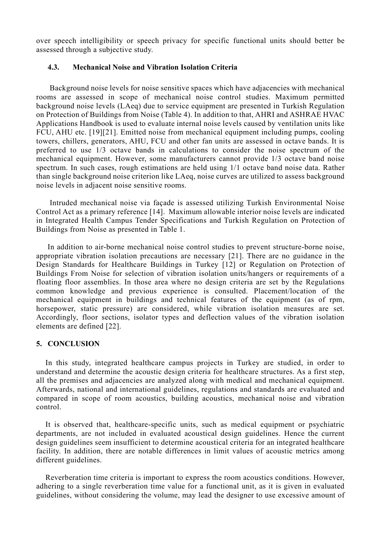over speech intelligibility or speech privacy for specific functional units should better be assessed through a subjective study.

## 4.3. Mechanical Noise and Vibration Isolation Criteria

 Background noise levels for noise sensitive spaces which have adjacencies with mechanical rooms are assessed in scope of mechanical noise control studies. Maximum permitted background noise levels (LAeq) due to service equipment are presented in Turkish Regulation on Protection of Buildings from Noise (Table 4). In addition to that, AHRI and ASHRAE HVAC Applications Handbook is used to evaluate internal noise levels caused by ventilation units like FCU, AHU etc. [19][21]. Emitted noise from mechanical equipment including pumps, cooling towers, chillers, generators, AHU, FCU and other fan units are assessed in octave bands. It is preferred to use 1/3 octave bands in calculations to consider the noise spectrum of the mechanical equipment. However, some manufacturers cannot provide 1/3 octave band noise spectrum. In such cases, rough estimations are held using 1/1 octave band noise data. Rather than single background noise criterion like LAeq, noise curves are utilized to assess background noise levels in adjacent noise sensitive rooms.

 Intruded mechanical noise via façade is assessed utilizing Turkish Environmental Noise Control Act as a primary reference [14]. Maximum allowable interior noise levels are indicated in Integrated Health Campus Tender Specifications and Turkish Regulation on Protection of Buildings from Noise as presented in Table 1.

 In addition to air-borne mechanical noise control studies to prevent structure-borne noise, appropriate vibration isolation precautions are necessary [21]. There are no guidance in the Design Standards for Healthcare Buildings in Turkey [12] or Regulation on Protection of Buildings From Noise for selection of vibration isolation units/hangers or requirements of a floating floor assemblies. In those area where no design criteria are set by the Regulations common knowledge and previous experience is consulted. Placement/location of the mechanical equipment in buildings and technical features of the equipment (as of rpm, horsepower, static pressure) are considered, while vibration isolation measures are set. Accordingly, floor sections, isolator types and deflection values of the vibration isolation elements are defined [22].

#### 5. CONCLUSION

In this study, integrated healthcare campus projects in Turkey are studied, in order to understand and determine the acoustic design criteria for healthcare structures. As a first step, all the premises and adjacencies are analyzed along with medical and mechanical equipment. Afterwards, national and international guidelines, regulations and standards are evaluated and compared in scope of room acoustics, building acoustics, mechanical noise and vibration control.

It is observed that, healthcare-specific units, such as medical equipment or psychiatric departments, are not included in evaluated acoustical design guidelines. Hence the current design guidelines seem insufficient to determine acoustical criteria for an integrated healthcare facility. In addition, there are notable differences in limit values of acoustic metrics among different guidelines.

Reverberation time criteria is important to express the room acoustics conditions. However, adhering to a single reverberation time value for a functional unit, as it is given in evaluated guidelines, without considering the volume, may lead the designer to use excessive amount of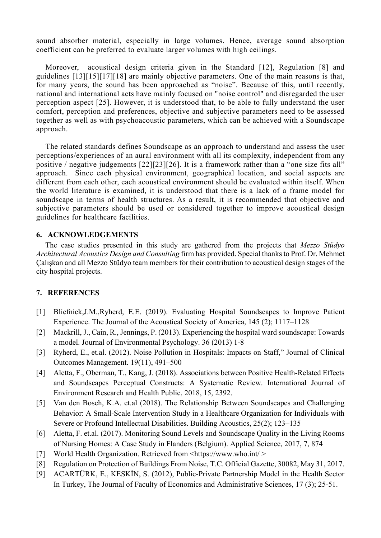sound absorber material, especially in large volumes. Hence, average sound absorption coefficient can be preferred to evaluate larger volumes with high ceilings.

Moreover, acoustical design criteria given in the Standard [12], Regulation [8] and guidelines [13][15][17][18] are mainly objective parameters. One of the main reasons is that, for many years, the sound has been approached as "noise". Because of this, until recently, national and international acts have mainly focused on "noise control" and disregarded the user perception aspect [25]. However, it is understood that, to be able to fully understand the user comfort, perception and preferences, objective and subjective parameters need to be assessed together as well as with psychoacoustic parameters, which can be achieved with a Soundscape approach.

The related standards defines Soundscape as an approach to understand and assess the user perceptions/experiences of an aural environment with all its complexity, independent from any positive / negative judgements [22][23][26]. It is a framework rather than a "one size fits all" approach. Since each physical environment, geographical location, and social aspects are different from each other, each acoustical environment should be evaluated within itself. When the world literature is examined, it is understood that there is a lack of a frame model for soundscape in terms of health structures. As a result, it is recommended that objective and subjective parameters should be used or considered together to improve acoustical design guidelines for healthcare facilities.

## 6. ACKNOWLEDGEMENTS

The case studies presented in this study are gathered from the projects that Mezzo Stüdyo Architectural Acoustics Design and Consulting firm has provided. Special thanks to Prof. Dr. Mehmet Çalışkan and all Mezzo Stüdyo team members for their contribution to acoustical design stages of the city hospital projects.

## 7. REFERENCES

- [1] Bliefnick,J.M.,Ryherd, E.E. (2019). Evaluating Hospital Soundscapes to Improve Patient Experience. The Journal of the Acoustical Society of America, 145 (2); 1117–1128
- [2] Mackrill, J., Cain, R., Jennings, P. (2013). Experiencing the hospital ward soundscape: Towards a model. Journal of Environmental Psychology. 36 (2013) 1-8
- [3] Ryherd, E., et.al. (2012). Noise Pollution in Hospitals: Impacts on Staff," Journal of Clinical Outcomes Management. 19(11), 491–500
- [4] Aletta, F., Oberman, T., Kang, J. (2018). Associations between Positive Health-Related Effects and Soundscapes Perceptual Constructs: A Systematic Review. International Journal of Environment Research and Health Public, 2018, 15, 2392.
- [5] Van den Bosch, K.A. et.al (2018). The Relationship Between Soundscapes and Challenging Behavior: A Small-Scale Intervention Study in a Healthcare Organization for Individuals with Severe or Profound Intellectual Disabilities. Building Acoustics, 25(2); 123–135
- [6] Aletta, F. et.al. (2017). Monitoring Sound Levels and Soundscape Quality in the Living Rooms of Nursing Homes: A Case Study in Flanders (Belgium). Applied Science, 2017, 7, 874
- [7] World Health Organization. Retrieved from <https://www.who.int/>
- [8] Regulation on Protection of Buildings From Noise, T.C. Official Gazette, 30082, May 31, 2017.
- [9] ACARTÜRK, E., KESKİN, S. (2012), Public-Private Partnership Model in the Health Sector In Turkey, The Journal of Faculty of Economics and Administrative Sciences, 17 (3); 25-51.